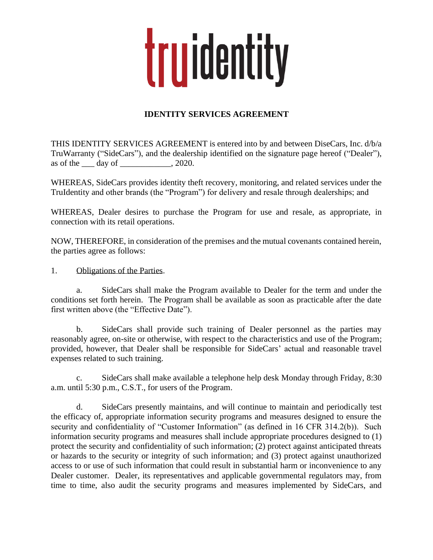## truidentity

## **IDENTITY SERVICES AGREEMENT**

THIS IDENTITY SERVICES AGREEMENT is entered into by and between DiseCars, Inc. d/b/a TruWarranty ("SideCars"), and the dealership identified on the signature page hereof ("Dealer"), as of the  $\qquad \text{day of} \qquad \qquad .2020.$ 

WHEREAS, SideCars provides identity theft recovery, monitoring, and related services under the TruIdentity and other brands (the "Program") for delivery and resale through dealerships; and

WHEREAS, Dealer desires to purchase the Program for use and resale, as appropriate, in connection with its retail operations.

NOW, THEREFORE, in consideration of the premises and the mutual covenants contained herein, the parties agree as follows:

1. Obligations of the Parties.

a. SideCars shall make the Program available to Dealer for the term and under the conditions set forth herein. The Program shall be available as soon as practicable after the date first written above (the "Effective Date").

b. SideCars shall provide such training of Dealer personnel as the parties may reasonably agree, on-site or otherwise, with respect to the characteristics and use of the Program; provided, however, that Dealer shall be responsible for SideCars' actual and reasonable travel expenses related to such training.

c. SideCars shall make available a telephone help desk Monday through Friday, 8:30 a.m. until 5:30 p.m., C.S.T., for users of the Program.

d. SideCars presently maintains, and will continue to maintain and periodically test the efficacy of, appropriate information security programs and measures designed to ensure the security and confidentiality of "Customer Information" (as defined in 16 CFR 314.2(b)). Such information security programs and measures shall include appropriate procedures designed to (1) protect the security and confidentiality of such information; (2) protect against anticipated threats or hazards to the security or integrity of such information; and (3) protect against unauthorized access to or use of such information that could result in substantial harm or inconvenience to any Dealer customer. Dealer, its representatives and applicable governmental regulators may, from time to time, also audit the security programs and measures implemented by SideCars, and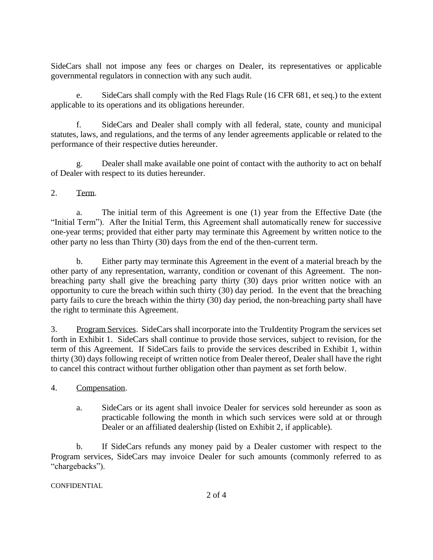SideCars shall not impose any fees or charges on Dealer, its representatives or applicable governmental regulators in connection with any such audit.

e. SideCars shall comply with the Red Flags Rule (16 CFR 681, et seq.) to the extent applicable to its operations and its obligations hereunder.

f. SideCars and Dealer shall comply with all federal, state, county and municipal statutes, laws, and regulations, and the terms of any lender agreements applicable or related to the performance of their respective duties hereunder.

g. Dealer shall make available one point of contact with the authority to act on behalf of Dealer with respect to its duties hereunder.

## 2. Term.

a. The initial term of this Agreement is one (1) year from the Effective Date (the "Initial Term"). After the Initial Term, this Agreement shall automatically renew for successive one-year terms; provided that either party may terminate this Agreement by written notice to the other party no less than Thirty (30) days from the end of the then-current term.

b. Either party may terminate this Agreement in the event of a material breach by the other party of any representation, warranty, condition or covenant of this Agreement. The nonbreaching party shall give the breaching party thirty (30) days prior written notice with an opportunity to cure the breach within such thirty (30) day period. In the event that the breaching party fails to cure the breach within the thirty (30) day period, the non-breaching party shall have the right to terminate this Agreement.

3. Program Services. SideCars shall incorporate into the TruIdentity Program the services set forth in Exhibit 1. SideCars shall continue to provide those services, subject to revision, for the term of this Agreement. If SideCars fails to provide the services described in Exhibit 1, within thirty (30) days following receipt of written notice from Dealer thereof, Dealer shall have the right to cancel this contract without further obligation other than payment as set forth below.

4. Compensation.

a. SideCars or its agent shall invoice Dealer for services sold hereunder as soon as practicable following the month in which such services were sold at or through Dealer or an affiliated dealership (listed on Exhibit 2, if applicable).

b. If SideCars refunds any money paid by a Dealer customer with respect to the Program services, SideCars may invoice Dealer for such amounts (commonly referred to as "chargebacks").

**CONFIDENTIAL**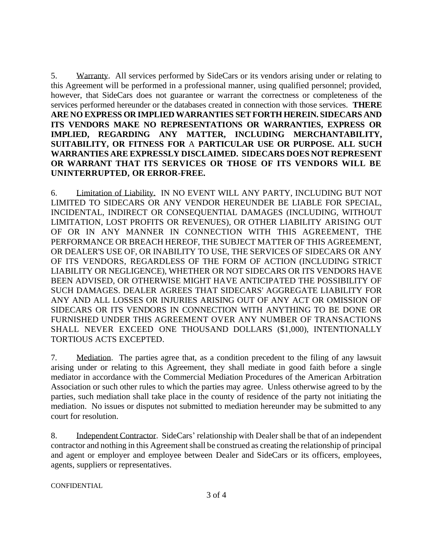5. Warranty. All services performed by SideCars or its vendors arising under or relating to this Agreement will be performed in a professional manner, using qualified personnel; provided, however, that SideCars does not guarantee or warrant the correctness or completeness of the services performed hereunder or the databases created in connection with those services. **THERE ARE NO EXPRESS OR IMPLIED WARRANTIES SET FORTH HEREIN. SIDECARS AND ITS VENDORS MAKE NO REPRESENTATIONS OR WARRANTIES, EXPRESS OR IMPLIED, REGARDING ANY MATTER, INCLUDING MERCHANTABILITY, SUITABILITY, OR FITNESS FOR** A **PARTICULAR USE OR PURPOSE. ALL SUCH WARRANTIES ARE EXPRESSLY DISCLAIMED. SIDECARS DOES NOT REPRESENT OR WARRANT THAT ITS SERVICES OR THOSE OF ITS VENDORS WILL BE UNINTERRUPTED, OR ERROR-FREE.**

6. Limitation of Liability. IN NO EVENT WILL ANY PARTY, INCLUDING BUT NOT LIMITED TO SIDECARS OR ANY VENDOR HEREUNDER BE LIABLE FOR SPECIAL, INCIDENTAL, INDIRECT OR CONSEQUENTIAL DAMAGES (INCLUDING, WITHOUT LIMITATION, LOST PROFITS OR REVENUES), OR OTHER LIABILITY ARISING OUT OF OR IN ANY MANNER IN CONNECTION WITH THIS AGREEMENT, THE PERFORMANCE OR BREACH HEREOF, THE SUBJECT MATTER OF THIS AGREEMENT, OR DEALER'S USE OF, OR INABILITY TO USE, THE SERVICES OF SIDECARS OR ANY OF ITS VENDORS, REGARDLESS OF THE FORM OF ACTION (INCLUDING STRICT LIABILITY OR NEGLIGENCE), WHETHER OR NOT SIDECARS OR ITS VENDORS HAVE BEEN ADVISED, OR OTHERWISE MIGHT HAVE ANTICIPATED THE POSSIBILITY OF SUCH DAMAGES. DEALER AGREES THAT SIDECARS' AGGREGATE LIABILITY FOR ANY AND ALL LOSSES OR INJURIES ARISING OUT OF ANY ACT OR OMISSION OF SIDECARS OR ITS VENDORS IN CONNECTION WITH ANYTHING TO BE DONE OR FURNISHED UNDER THIS AGREEMENT OVER ANY NUMBER OF TRANSACTIONS SHALL NEVER EXCEED ONE THOUSAND DOLLARS (\$1,000), INTENTIONALLY TORTIOUS ACTS EXCEPTED.

7. Mediation. The parties agree that, as a condition precedent to the filing of any lawsuit arising under or relating to this Agreement, they shall mediate in good faith before a single mediator in accordance with the Commercial Mediation Procedures of the American Arbitration Association or such other rules to which the parties may agree. Unless otherwise agreed to by the parties, such mediation shall take place in the county of residence of the party not initiating the mediation. No issues or disputes not submitted to mediation hereunder may be submitted to any court for resolution.

8. Independent Contractor. SideCars' relationship with Dealer shall be that of an independent contractor and nothing in this Agreement shall be construed as creating the relationship of principal and agent or employer and employee between Dealer and SideCars or its officers, employees, agents, suppliers or representatives.

CONFIDENTIAL